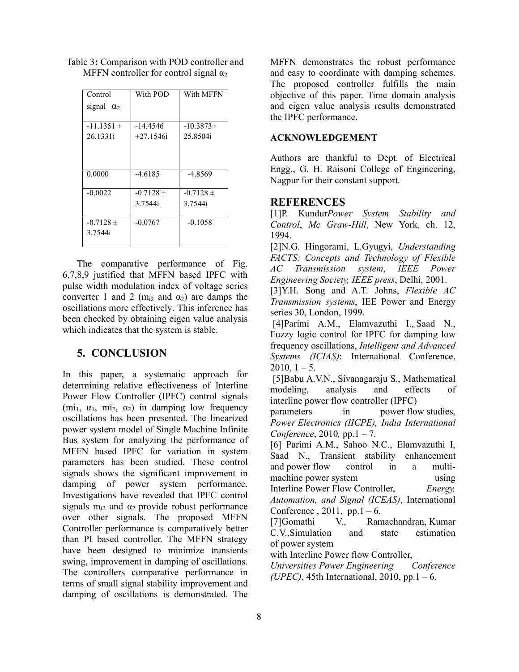| Control           | With POD    | With MFFN     |
|-------------------|-------------|---------------|
| signal $\alpha_2$ |             |               |
|                   |             |               |
| $-11.1351 \pm$    | -14.4546    | $-10.3873\pm$ |
| 26.1331i          | $+27.1546i$ | 25.8504i      |
|                   |             |               |
|                   |             |               |
|                   |             |               |
| 0.0000            | -4.6185     | $-4.8569$     |
|                   |             |               |
| $-0.0022$         | $-0.7128 +$ | $-0.7128 \pm$ |
|                   | 3.7544i     | 3.7544i       |
|                   |             |               |
| $-0.7128 \pm$     | $-0.0767$   | $-0.1058$     |
| 3.7544i           |             |               |
|                   |             |               |

Table 3: Comparison with POD controller and MFFN controller for control signal  $\alpha_2$ 

The comparative performance of Fig. 6,7,8,9 justified that MFFN based IPFC with pulse width modulation index of voltage series converter 1 and 2 ( $m_{i2}$  and  $\alpha_2$ ) are damps the oscillations more effectively. This inference has been checked by obtaining eigen value analysis which indicates that the system is stable.

## 5. CONCLUSION

In this paper, a systematic approach for determining relative effectiveness of Interline Power Flow Controller (IPFC) control signals  $(\text{mi}_1, \alpha_1, \text{mi}_2, \alpha_2)$  in damping low frequency oscillations has been presented. The linearized power system model of Single Machine Infinite Bus system for analyzing the performance of MFFN based IPFC for variation in system parameters has been studied. These control signals shows the significant improvement in damping of power system performance. Investigations have revealed that IPFC control signals  $m_{i2}$  and  $\alpha_2$  provide robust performance over other signals. The proposed MFFN Controller performance is comparatively better than PI based controller. The MFFN strategy have been designed to minimize transients swing, improvement in damping of oscillations. The controllers comparative performance in terms of small signal stability improvement and damping of oscillations is demonstrated. The

MFFN demonstrates the robust performance and easy to coordinate with damping schemes. The proposed controller fulfills the main objective of this paper. Time domain analysis and eigen value analysis results demonstrated the IPFC performance.

### ACKNOWLEDGEMENT

Authors are thankful to Dept. of Electrical Engg., G. H. Raisoni College of Engineering, Nagpur for their constant support.

### **REFERENCES**

[1]P. Kundur*Power System Stability and Control*, *Mc Graw-Hill*, New York, ch. 12, 1994.

[2]N.G. Hingorami, L.Gyugyi, *Understanding FACTS: Concepts and Technology of Flexible AC Transmission system*, *IEEE Power Engineering Society, IEEE press*, Delhi, 2001.

[3]Y.H. Song and A.T. Johns, *Flexible AC Transmission systems*, IEE Power and Energy series 30, London, 1999.

 [4]Parimi A.M., Elamvazuthi I., Saad N., Fuzzy logic control for IPFC for damping low frequency oscillations, *Intelligent and Advanced Systems (ICIAS)*: International Conference,  $2010, 1 - 5.$ 

 [5]Babu A.V.N., Sivanagaraju S., Mathematical modeling, analysis and effects of interline power flow controller (IPFC)

parameters in power flow studies, *Power Electronics (IICPE), India International Conference*, 2010*,* pp.1 – 7.

[6] Parimi A.M., Sahoo N.C., Elamvazuthi I, Saad N., Transient stability enhancement and power flow control in a multimachine power system using using Interline Power Flow Controller, *Energy, Automation, and Signal (ICEAS)*, International

Conference,  $2011$ , pp.1 – 6.

[7]Gomathi V., Ramachandran, Kumar C.V.,Simulation and state estimation of power system

with Interline Power flow Controller,

*Universities Power Engineering Conference (UPEC)*, 45th International, 2010, pp.1 – 6.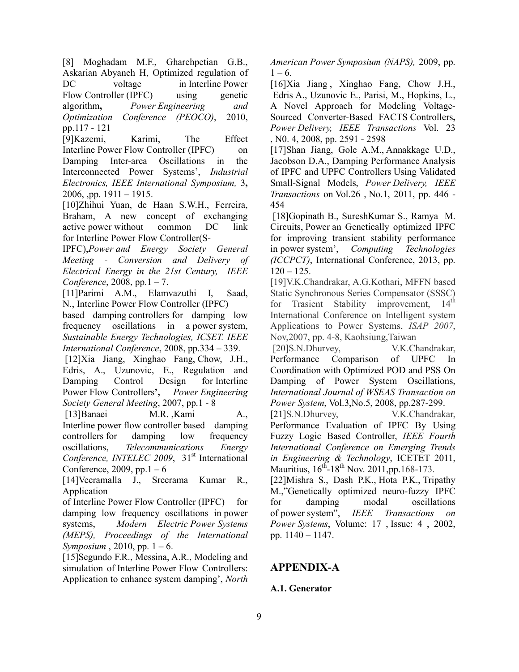[8] Moghadam M.F., Gharehpetian G.B., Askarian Abyaneh H, Optimized regulation of DC voltage in Interline Power Flow Controller (IPFC) using genetic algorithm, *Power Engineering and Optimization Conference (PEOCO)*, 2010, pp.117 - 121

[9]Kazemi, Karimi, The Effect Interline Power Flow Controller (IPFC) on Damping Inter-area Oscillations in the Interconnected Power Systems', *Industrial Electronics, IEEE International Symposium,* 3, 2006, pp.  $1911 - 1915$ .

[10]Zhihui Yuan, de Haan S.W.H., Ferreira, Braham, A new concept of exchanging active power without common DC link for Interline Power Flow Controller(S-

IPFC),*Power and Energy Society General Meeting - Conversion and Delivery of Electrical Energy in the 21st Century, IEEE Conference*, 2008, pp.1 – 7.

[11]Parimi A.M., Elamvazuthi I, Saad, N., Interline Power Flow Controller (IPFC)

based damping controllers for damping low frequency oscillations in a power system, *Sustainable Energy Technologies, ICSET. IEEE International Conference*, 2008, pp.334 – 339.

 [12]Xia Jiang, Xinghao Fang, Chow, J.H., Edris, A., Uzunovic, E., Regulation and Damping Control Design for Interline Power Flow Controllers', *Power Engineering Society General Meeting*, 2007, pp.1 - 8

 [13]Banaei M.R. ,Kami A., Interline power flow controller based damping controllers for damping low frequency oscillations, *Telecommunications Energy*  Conference, INTELEC 2009, 31<sup>st</sup> International Conference,  $2009$ , pp. 1 – 6

[14]Veeramalla J., Sreerama Kumar R., Application

of Interline Power Flow Controller (IPFC) for damping low frequency oscillations in power systems, *Modern Electric Power Systems (MEPS), Proceedings of the International Symposium* , 2010, pp. 1 – 6.

[15]Segundo F.R., Messina, A.R., Modeling and simulation of Interline Power Flow Controllers: Application to enhance system damping', *North* 

*American Power Symposium (NAPS),* 2009, pp.  $1 - 6$ .

[16]Xia Jiang, Xinghao Fang, Chow J.H., Edris A., Uzunovic E., Parisi, M., Hopkins, L., A Novel Approach for Modeling Voltage-Sourced Converter-Based FACTS Controllers, *Power Delivery, IEEE Transactions* Vol. 23 , N0. 4, 2008, pp. 2591 - 2598

[17]Shan Jiang, Gole A.M., Annakkage U.D., Jacobson D.A., Damping Performance Analysis of IPFC and UPFC Controllers Using Validated Small-Signal Models, *Power Delivery, IEEE Transactions* on Vol.26 , No.1, 2011, pp. 446 - 454

 [18]Gopinath B., SureshKumar S., Ramya M. Circuits, Power an Genetically optimized IPFC for improving transient stability performance in power system', *Computing Technologies (ICCPCT)*, International Conference, 2013, pp.  $120 - 125$ .

[19]V.K.Chandrakar, A.G.Kothari, MFFN based Static Synchronous Series Compensator (SSSC)<br>for Trasient Stability improvement, 14<sup>th</sup> for Trasient Stability improvement, International Conference on Intelligent system Applications to Power Systems, *ISAP 2007*, Nov,2007, pp. 4-8, Kaohsiung,Taiwan

 [20]S.N.Dhurvey, V.K.Chandrakar, Performance Comparison of UPFC In Coordination with Optimized POD and PSS On Damping of Power System Oscillations, *International Journal of WSEAS Transaction on Power System*, Vol.3,No.5, 2008, pp.287-299.

[21]S.N.Dhurvey, V.K.Chandrakar, Performance Evaluation of IPFC By Using Fuzzy Logic Based Controller, *IEEE Fourth International Conference on Emerging Trends in Engineering & Technology*, ICETET 2011, Mauritius,  $16^{th} - 18^{th}$  Nov. 2011, pp. 168-173.

[22]Mishra S., Dash P.K., Hota P.K., Tripathy M.,"Genetically optimized neuro-fuzzy IPFC for damping modal oscillations of power system", *IEEE Transactions on Power Systems*, Volume: 17 , Issue: 4 , 2002, pp. 1140 – 1147.

# APPENDIX-A

## A.1. Generator